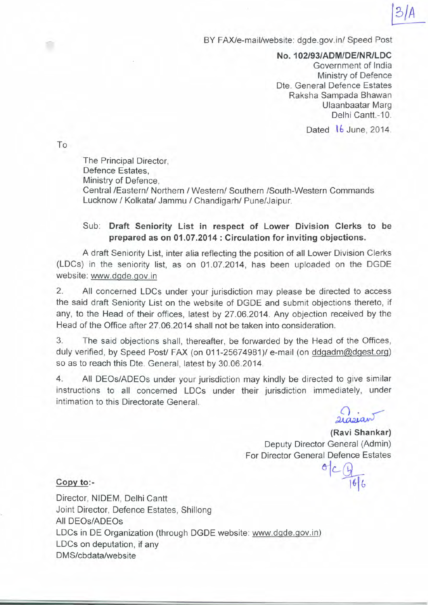## BY FAX/e-mail/website: dgde.gov.in/ Speed Post

*No.102/93/ADM/DE/NR/LDC* Government of India Ministry of Defence Dte. General Defence Estates Raksha Sampada Bhawan Ulaanbaatar Marg Delhi Cantt.-10.

Dated **tb** June, 2014.

To

◠

The Principal Director, Defence Estates, Ministry of Defence, Central *IEasternl* Northern *1Westernl* Southern ISouth-Western Commands Lucknow / Kolkata/ Jammu / Chandigarh/ Pune/Jaipur.

## Sub: **Draft Seniority List in respect of Lower Division Clerks to be prepared as on 01.07.2014 : Circulation for inviting objections.**

A draft Seniority List, inter alia reflecting the position of all Lower Division Clerks (LDCs) in the seniority list, as on 01.07.2014, has been uploaded on the DGDE website: www.dgde.gov.in

2. All concerned LDCs under your jurisdiction may please be directed to access the said draft Seniority List on the website of DGDE and submit objections thereto, if any, to the Head of their offices, latest by 27.06.2014. Any objection received by the Head of the Office after 27.06.2014 shall not be taken into consideration.

3. The said objections shall, thereafter, be forwarded by the Head of the Offices, duly verified, by Speed Post/ FAX (on 011-25674981)/ e-mail (on ddgadm@dgest.org) so as to reach this Dte. General, latest by 30.06.2014.

4. All DEOs/ADEOs under your jurisdiction may kindly be directed to give similar instructions to all concerned LDCs under their jurisdiction immediately, under intimation to this Directorate General.

 $21$ astan

l~(,

**(Ravi Shankar)** Deputy Director General (Admin) For Director General Defence Estates

*~L~*

## **Copy** to:-

Director, NIDEM, Delhi Cantt Joint Director, Defence Estates, Shillong All DEOs/ADEOs LDCs in DE Organization (through DGDE website: www.dgde.gov.in) LDCs on deputation, if any DMS/cbdata/website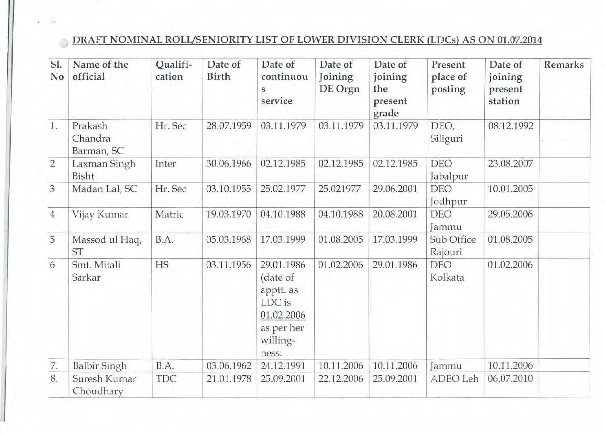## DRAFT NOMINAL ROLUSENIORITY LIST OF LOWER DIVISION CLERK (LDCs) AS ON 01.07.2014

| SI.<br>No      | Name of the<br>official          | Qualifi-<br>cation | Date of<br><b>Birth</b> | Date of<br>continuou<br>S<br>service                                                           | Date of<br>Joining<br>DE Orgn | Date of<br>joining<br>the<br>present<br>grade | Present<br>place of<br>posting | Date of<br>joining<br>present<br>station | <b>Remarks</b> |
|----------------|----------------------------------|--------------------|-------------------------|------------------------------------------------------------------------------------------------|-------------------------------|-----------------------------------------------|--------------------------------|------------------------------------------|----------------|
| 1.             | Prakash<br>Chandra<br>Barman, SC | Hr. Sec            | 28.07.1959              | 03.11.1979                                                                                     | 03.11.1979                    | 03.11.1979                                    | DEO,<br>Siliguri               | 08.12.1992                               |                |
| $\overline{2}$ | Laxman Singh<br>Bisht            | Inter              | 30.06.1966              | 02.12.1985                                                                                     | 02.12.1985                    | 02.12.1985                                    | <b>DEO</b><br>Jabalpur         | 23.08.2007                               |                |
| $\overline{3}$ | Madan Lal, SC                    | Hr. Sec            | 03.10.1955              | 25.02.1977                                                                                     | 25.021977                     | 29.06.2001                                    | <b>DEO</b><br>Jodhpur          | 10.01.2005                               |                |
| $\overline{4}$ | Vijay Kumar                      | Matric             | 19.03.1970              | 04.10.1988                                                                                     | 04.10.1988                    | 20.08.2001                                    | <b>DEO</b><br>Jammu            | 29.05.2006                               |                |
| 5              | Massod ul Haq,<br><b>ST</b>      | B.A.               | 05.03.1968              | 17.03.1999                                                                                     | 01.08.2005                    | 17.03.1999                                    | Sub Office<br>Rajouri          | 01.08.2005                               |                |
| 6              | Smt. Mitali<br>Sarkar            | <b>HS</b>          | 03.11.1956              | 29.01.1986<br>(date of<br>apptt. as<br>LDC is<br>01.02.2006<br>as per her<br>willing-<br>ness. | 01.02.2006                    | 29.01.1986                                    | <b>DEO</b><br>Kolkata          | 01.02.2006                               |                |
| 7.             | <b>Balbir Singh</b>              | B.A.               | 03.06.1962              | 24.12.1991                                                                                     | 10.11.2006                    | 10.11.2006                                    | Jammu                          | 10.11.2006                               |                |
| 8.             | Suresh Kumar<br>Choudhary        | <b>TDC</b>         | 21.01.1978              | 25.09.2001                                                                                     | 22.12.2006                    | 25.09.2001                                    | ADEO Leh                       | 06.07.2010                               |                |

. ,

 $\Rightarrow$